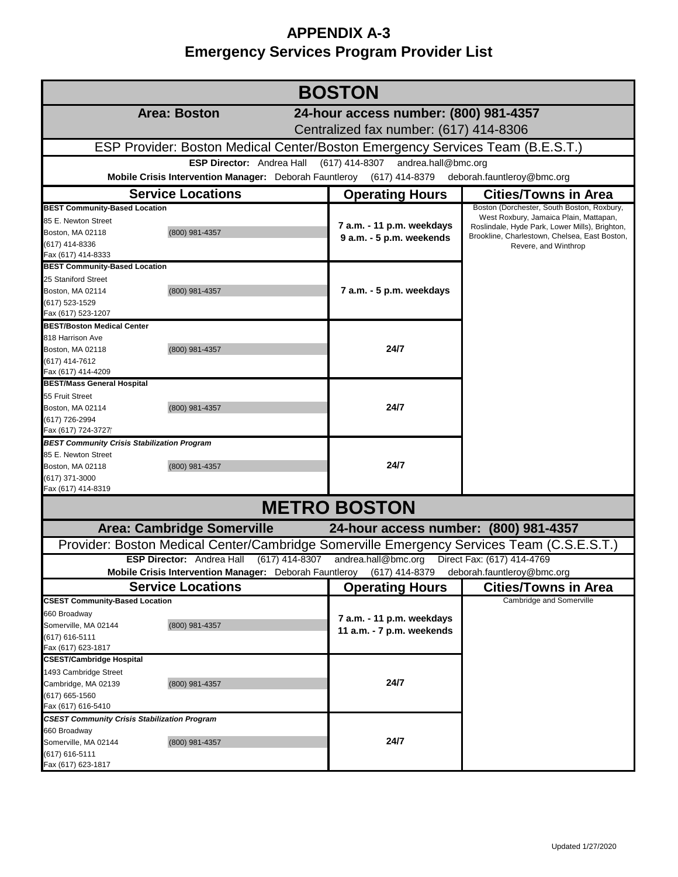| 24-hour access number: (800) 981-4357<br><b>Area: Boston</b><br>Centralized fax number: (617) 414-8306<br>ESP Provider: Boston Medical Center/Boston Emergency Services Team (B.E.S.T.)<br><b>ESP Director:</b> Andrea Hall<br>(617) 414-8307<br>andrea.hall@bmc.org<br>Mobile Crisis Intervention Manager: Deborah Fauntleroy (617) 414-8379<br>deborah.fauntleroy@bmc.org<br><b>Service Locations</b><br><b>Operating Hours</b><br><b>Cities/Towns in Area</b><br><b>BEST Community-Based Location</b><br>Boston (Dorchester, South Boston, Roxbury,<br>West Roxbury, Jamaica Plain, Mattapan,<br>85 E. Newton Street<br>7 a.m. - 11 p.m. weekdays<br>Roslindale, Hyde Park, Lower Mills), Brighton,<br>(800) 981-4357<br>Boston, MA 02118<br>Brookline, Charlestown, Chelsea, East Boston,<br>9 a.m. - 5 p.m. weekends<br>(617) 414-8336<br>Revere, and Winthrop<br>Fax (617) 414-8333<br><b>BEST Community-Based Location</b><br>25 Staniford Street<br>7 a.m. - 5 p.m. weekdays<br>Boston, MA 02114<br>(800) 981-4357<br>(617) 523-1529<br>Fax (617) 523-1207<br><b>BEST/Boston Medical Center</b><br>818 Harrison Ave<br>24/7<br>(800) 981-4357<br>Boston, MA 02118<br>(617) 414-7612<br>Fax (617) 414-4209<br><b>BEST/Mass General Hospital</b><br>55 Fruit Street<br>24/7<br>(800) 981-4357<br>Boston, MA 02114<br>(617) 726-2994<br>Fax (617) 724-3727<br><b>BEST Community Crisis Stabilization Program</b><br>85 E. Newton Street<br>24/7<br>Boston, MA 02118<br>(800) 981-4357<br>(617) 371-3000<br>Fax (617) 414-8319<br><b>METRO BOSTON</b><br><b>Area: Cambridge Somerville</b><br>24-hour access number: (800) 981-4357<br>Provider: Boston Medical Center/Cambridge Somerville Emergency Services Team (C.S.E.S.T.)<br>ESP Director: Andrea Hall (617) 414-8307 andrea.hall@bmc.org Direct Fax: (617) 414-4769<br>Mobile Crisis Intervention Manager: Deborah Fauntleroy<br>(617) 414-8379<br>deborah.fauntleroy@bmc.org<br><b>Service Locations</b><br><b>Operating Hours</b><br><b>Cities/Towns in Area</b><br><b>Cambridge and Somerville</b><br><b>CSEST Community-Based Location</b><br>660 Broadway<br>7 a.m. - 11 p.m. weekdays<br>(800) 981-4357<br>Somerville, MA 02144<br>11 a.m. - 7 p.m. weekends<br>(617) 616-5111<br>Fax (617) 623-1817<br><b>CSEST/Cambridge Hospital</b><br>1493 Cambridge Street<br>24/7<br>(800) 981-4357<br>Cambridge, MA 02139<br>(617) 665-1560<br>Fax (617) 616-5410<br><b>CSEST Community Crisis Stabilization Program</b><br>660 Broadway<br>24/7<br>(800) 981-4357<br>Somerville, MA 02144<br>(617) 616-5111<br>Fax (617) 623-1817 | <b>BOSTON</b> |  |  |  |  |  |
|----------------------------------------------------------------------------------------------------------------------------------------------------------------------------------------------------------------------------------------------------------------------------------------------------------------------------------------------------------------------------------------------------------------------------------------------------------------------------------------------------------------------------------------------------------------------------------------------------------------------------------------------------------------------------------------------------------------------------------------------------------------------------------------------------------------------------------------------------------------------------------------------------------------------------------------------------------------------------------------------------------------------------------------------------------------------------------------------------------------------------------------------------------------------------------------------------------------------------------------------------------------------------------------------------------------------------------------------------------------------------------------------------------------------------------------------------------------------------------------------------------------------------------------------------------------------------------------------------------------------------------------------------------------------------------------------------------------------------------------------------------------------------------------------------------------------------------------------------------------------------------------------------------------------------------------------------------------------------------------------------------------------------------------------------------------------------------------------------------------------------------------------------------------------------------------------------------------------------------------------------------------------------------------------------------------------------------------------------------------------------------------------------------------------------------------------------------------------------------------------------------------------------------------------------------------------------------------------|---------------|--|--|--|--|--|
|                                                                                                                                                                                                                                                                                                                                                                                                                                                                                                                                                                                                                                                                                                                                                                                                                                                                                                                                                                                                                                                                                                                                                                                                                                                                                                                                                                                                                                                                                                                                                                                                                                                                                                                                                                                                                                                                                                                                                                                                                                                                                                                                                                                                                                                                                                                                                                                                                                                                                                                                                                                              |               |  |  |  |  |  |
|                                                                                                                                                                                                                                                                                                                                                                                                                                                                                                                                                                                                                                                                                                                                                                                                                                                                                                                                                                                                                                                                                                                                                                                                                                                                                                                                                                                                                                                                                                                                                                                                                                                                                                                                                                                                                                                                                                                                                                                                                                                                                                                                                                                                                                                                                                                                                                                                                                                                                                                                                                                              |               |  |  |  |  |  |
|                                                                                                                                                                                                                                                                                                                                                                                                                                                                                                                                                                                                                                                                                                                                                                                                                                                                                                                                                                                                                                                                                                                                                                                                                                                                                                                                                                                                                                                                                                                                                                                                                                                                                                                                                                                                                                                                                                                                                                                                                                                                                                                                                                                                                                                                                                                                                                                                                                                                                                                                                                                              |               |  |  |  |  |  |
|                                                                                                                                                                                                                                                                                                                                                                                                                                                                                                                                                                                                                                                                                                                                                                                                                                                                                                                                                                                                                                                                                                                                                                                                                                                                                                                                                                                                                                                                                                                                                                                                                                                                                                                                                                                                                                                                                                                                                                                                                                                                                                                                                                                                                                                                                                                                                                                                                                                                                                                                                                                              |               |  |  |  |  |  |
|                                                                                                                                                                                                                                                                                                                                                                                                                                                                                                                                                                                                                                                                                                                                                                                                                                                                                                                                                                                                                                                                                                                                                                                                                                                                                                                                                                                                                                                                                                                                                                                                                                                                                                                                                                                                                                                                                                                                                                                                                                                                                                                                                                                                                                                                                                                                                                                                                                                                                                                                                                                              |               |  |  |  |  |  |
|                                                                                                                                                                                                                                                                                                                                                                                                                                                                                                                                                                                                                                                                                                                                                                                                                                                                                                                                                                                                                                                                                                                                                                                                                                                                                                                                                                                                                                                                                                                                                                                                                                                                                                                                                                                                                                                                                                                                                                                                                                                                                                                                                                                                                                                                                                                                                                                                                                                                                                                                                                                              |               |  |  |  |  |  |
|                                                                                                                                                                                                                                                                                                                                                                                                                                                                                                                                                                                                                                                                                                                                                                                                                                                                                                                                                                                                                                                                                                                                                                                                                                                                                                                                                                                                                                                                                                                                                                                                                                                                                                                                                                                                                                                                                                                                                                                                                                                                                                                                                                                                                                                                                                                                                                                                                                                                                                                                                                                              |               |  |  |  |  |  |
|                                                                                                                                                                                                                                                                                                                                                                                                                                                                                                                                                                                                                                                                                                                                                                                                                                                                                                                                                                                                                                                                                                                                                                                                                                                                                                                                                                                                                                                                                                                                                                                                                                                                                                                                                                                                                                                                                                                                                                                                                                                                                                                                                                                                                                                                                                                                                                                                                                                                                                                                                                                              |               |  |  |  |  |  |
|                                                                                                                                                                                                                                                                                                                                                                                                                                                                                                                                                                                                                                                                                                                                                                                                                                                                                                                                                                                                                                                                                                                                                                                                                                                                                                                                                                                                                                                                                                                                                                                                                                                                                                                                                                                                                                                                                                                                                                                                                                                                                                                                                                                                                                                                                                                                                                                                                                                                                                                                                                                              |               |  |  |  |  |  |
|                                                                                                                                                                                                                                                                                                                                                                                                                                                                                                                                                                                                                                                                                                                                                                                                                                                                                                                                                                                                                                                                                                                                                                                                                                                                                                                                                                                                                                                                                                                                                                                                                                                                                                                                                                                                                                                                                                                                                                                                                                                                                                                                                                                                                                                                                                                                                                                                                                                                                                                                                                                              |               |  |  |  |  |  |
|                                                                                                                                                                                                                                                                                                                                                                                                                                                                                                                                                                                                                                                                                                                                                                                                                                                                                                                                                                                                                                                                                                                                                                                                                                                                                                                                                                                                                                                                                                                                                                                                                                                                                                                                                                                                                                                                                                                                                                                                                                                                                                                                                                                                                                                                                                                                                                                                                                                                                                                                                                                              |               |  |  |  |  |  |
|                                                                                                                                                                                                                                                                                                                                                                                                                                                                                                                                                                                                                                                                                                                                                                                                                                                                                                                                                                                                                                                                                                                                                                                                                                                                                                                                                                                                                                                                                                                                                                                                                                                                                                                                                                                                                                                                                                                                                                                                                                                                                                                                                                                                                                                                                                                                                                                                                                                                                                                                                                                              |               |  |  |  |  |  |
|                                                                                                                                                                                                                                                                                                                                                                                                                                                                                                                                                                                                                                                                                                                                                                                                                                                                                                                                                                                                                                                                                                                                                                                                                                                                                                                                                                                                                                                                                                                                                                                                                                                                                                                                                                                                                                                                                                                                                                                                                                                                                                                                                                                                                                                                                                                                                                                                                                                                                                                                                                                              |               |  |  |  |  |  |
|                                                                                                                                                                                                                                                                                                                                                                                                                                                                                                                                                                                                                                                                                                                                                                                                                                                                                                                                                                                                                                                                                                                                                                                                                                                                                                                                                                                                                                                                                                                                                                                                                                                                                                                                                                                                                                                                                                                                                                                                                                                                                                                                                                                                                                                                                                                                                                                                                                                                                                                                                                                              |               |  |  |  |  |  |
|                                                                                                                                                                                                                                                                                                                                                                                                                                                                                                                                                                                                                                                                                                                                                                                                                                                                                                                                                                                                                                                                                                                                                                                                                                                                                                                                                                                                                                                                                                                                                                                                                                                                                                                                                                                                                                                                                                                                                                                                                                                                                                                                                                                                                                                                                                                                                                                                                                                                                                                                                                                              |               |  |  |  |  |  |
|                                                                                                                                                                                                                                                                                                                                                                                                                                                                                                                                                                                                                                                                                                                                                                                                                                                                                                                                                                                                                                                                                                                                                                                                                                                                                                                                                                                                                                                                                                                                                                                                                                                                                                                                                                                                                                                                                                                                                                                                                                                                                                                                                                                                                                                                                                                                                                                                                                                                                                                                                                                              |               |  |  |  |  |  |
|                                                                                                                                                                                                                                                                                                                                                                                                                                                                                                                                                                                                                                                                                                                                                                                                                                                                                                                                                                                                                                                                                                                                                                                                                                                                                                                                                                                                                                                                                                                                                                                                                                                                                                                                                                                                                                                                                                                                                                                                                                                                                                                                                                                                                                                                                                                                                                                                                                                                                                                                                                                              |               |  |  |  |  |  |
|                                                                                                                                                                                                                                                                                                                                                                                                                                                                                                                                                                                                                                                                                                                                                                                                                                                                                                                                                                                                                                                                                                                                                                                                                                                                                                                                                                                                                                                                                                                                                                                                                                                                                                                                                                                                                                                                                                                                                                                                                                                                                                                                                                                                                                                                                                                                                                                                                                                                                                                                                                                              |               |  |  |  |  |  |
|                                                                                                                                                                                                                                                                                                                                                                                                                                                                                                                                                                                                                                                                                                                                                                                                                                                                                                                                                                                                                                                                                                                                                                                                                                                                                                                                                                                                                                                                                                                                                                                                                                                                                                                                                                                                                                                                                                                                                                                                                                                                                                                                                                                                                                                                                                                                                                                                                                                                                                                                                                                              |               |  |  |  |  |  |
|                                                                                                                                                                                                                                                                                                                                                                                                                                                                                                                                                                                                                                                                                                                                                                                                                                                                                                                                                                                                                                                                                                                                                                                                                                                                                                                                                                                                                                                                                                                                                                                                                                                                                                                                                                                                                                                                                                                                                                                                                                                                                                                                                                                                                                                                                                                                                                                                                                                                                                                                                                                              |               |  |  |  |  |  |
|                                                                                                                                                                                                                                                                                                                                                                                                                                                                                                                                                                                                                                                                                                                                                                                                                                                                                                                                                                                                                                                                                                                                                                                                                                                                                                                                                                                                                                                                                                                                                                                                                                                                                                                                                                                                                                                                                                                                                                                                                                                                                                                                                                                                                                                                                                                                                                                                                                                                                                                                                                                              |               |  |  |  |  |  |
|                                                                                                                                                                                                                                                                                                                                                                                                                                                                                                                                                                                                                                                                                                                                                                                                                                                                                                                                                                                                                                                                                                                                                                                                                                                                                                                                                                                                                                                                                                                                                                                                                                                                                                                                                                                                                                                                                                                                                                                                                                                                                                                                                                                                                                                                                                                                                                                                                                                                                                                                                                                              |               |  |  |  |  |  |
|                                                                                                                                                                                                                                                                                                                                                                                                                                                                                                                                                                                                                                                                                                                                                                                                                                                                                                                                                                                                                                                                                                                                                                                                                                                                                                                                                                                                                                                                                                                                                                                                                                                                                                                                                                                                                                                                                                                                                                                                                                                                                                                                                                                                                                                                                                                                                                                                                                                                                                                                                                                              |               |  |  |  |  |  |
|                                                                                                                                                                                                                                                                                                                                                                                                                                                                                                                                                                                                                                                                                                                                                                                                                                                                                                                                                                                                                                                                                                                                                                                                                                                                                                                                                                                                                                                                                                                                                                                                                                                                                                                                                                                                                                                                                                                                                                                                                                                                                                                                                                                                                                                                                                                                                                                                                                                                                                                                                                                              |               |  |  |  |  |  |
|                                                                                                                                                                                                                                                                                                                                                                                                                                                                                                                                                                                                                                                                                                                                                                                                                                                                                                                                                                                                                                                                                                                                                                                                                                                                                                                                                                                                                                                                                                                                                                                                                                                                                                                                                                                                                                                                                                                                                                                                                                                                                                                                                                                                                                                                                                                                                                                                                                                                                                                                                                                              |               |  |  |  |  |  |
|                                                                                                                                                                                                                                                                                                                                                                                                                                                                                                                                                                                                                                                                                                                                                                                                                                                                                                                                                                                                                                                                                                                                                                                                                                                                                                                                                                                                                                                                                                                                                                                                                                                                                                                                                                                                                                                                                                                                                                                                                                                                                                                                                                                                                                                                                                                                                                                                                                                                                                                                                                                              |               |  |  |  |  |  |
|                                                                                                                                                                                                                                                                                                                                                                                                                                                                                                                                                                                                                                                                                                                                                                                                                                                                                                                                                                                                                                                                                                                                                                                                                                                                                                                                                                                                                                                                                                                                                                                                                                                                                                                                                                                                                                                                                                                                                                                                                                                                                                                                                                                                                                                                                                                                                                                                                                                                                                                                                                                              |               |  |  |  |  |  |
|                                                                                                                                                                                                                                                                                                                                                                                                                                                                                                                                                                                                                                                                                                                                                                                                                                                                                                                                                                                                                                                                                                                                                                                                                                                                                                                                                                                                                                                                                                                                                                                                                                                                                                                                                                                                                                                                                                                                                                                                                                                                                                                                                                                                                                                                                                                                                                                                                                                                                                                                                                                              |               |  |  |  |  |  |
|                                                                                                                                                                                                                                                                                                                                                                                                                                                                                                                                                                                                                                                                                                                                                                                                                                                                                                                                                                                                                                                                                                                                                                                                                                                                                                                                                                                                                                                                                                                                                                                                                                                                                                                                                                                                                                                                                                                                                                                                                                                                                                                                                                                                                                                                                                                                                                                                                                                                                                                                                                                              |               |  |  |  |  |  |
|                                                                                                                                                                                                                                                                                                                                                                                                                                                                                                                                                                                                                                                                                                                                                                                                                                                                                                                                                                                                                                                                                                                                                                                                                                                                                                                                                                                                                                                                                                                                                                                                                                                                                                                                                                                                                                                                                                                                                                                                                                                                                                                                                                                                                                                                                                                                                                                                                                                                                                                                                                                              |               |  |  |  |  |  |
|                                                                                                                                                                                                                                                                                                                                                                                                                                                                                                                                                                                                                                                                                                                                                                                                                                                                                                                                                                                                                                                                                                                                                                                                                                                                                                                                                                                                                                                                                                                                                                                                                                                                                                                                                                                                                                                                                                                                                                                                                                                                                                                                                                                                                                                                                                                                                                                                                                                                                                                                                                                              |               |  |  |  |  |  |
|                                                                                                                                                                                                                                                                                                                                                                                                                                                                                                                                                                                                                                                                                                                                                                                                                                                                                                                                                                                                                                                                                                                                                                                                                                                                                                                                                                                                                                                                                                                                                                                                                                                                                                                                                                                                                                                                                                                                                                                                                                                                                                                                                                                                                                                                                                                                                                                                                                                                                                                                                                                              |               |  |  |  |  |  |
|                                                                                                                                                                                                                                                                                                                                                                                                                                                                                                                                                                                                                                                                                                                                                                                                                                                                                                                                                                                                                                                                                                                                                                                                                                                                                                                                                                                                                                                                                                                                                                                                                                                                                                                                                                                                                                                                                                                                                                                                                                                                                                                                                                                                                                                                                                                                                                                                                                                                                                                                                                                              |               |  |  |  |  |  |
|                                                                                                                                                                                                                                                                                                                                                                                                                                                                                                                                                                                                                                                                                                                                                                                                                                                                                                                                                                                                                                                                                                                                                                                                                                                                                                                                                                                                                                                                                                                                                                                                                                                                                                                                                                                                                                                                                                                                                                                                                                                                                                                                                                                                                                                                                                                                                                                                                                                                                                                                                                                              |               |  |  |  |  |  |
|                                                                                                                                                                                                                                                                                                                                                                                                                                                                                                                                                                                                                                                                                                                                                                                                                                                                                                                                                                                                                                                                                                                                                                                                                                                                                                                                                                                                                                                                                                                                                                                                                                                                                                                                                                                                                                                                                                                                                                                                                                                                                                                                                                                                                                                                                                                                                                                                                                                                                                                                                                                              |               |  |  |  |  |  |
|                                                                                                                                                                                                                                                                                                                                                                                                                                                                                                                                                                                                                                                                                                                                                                                                                                                                                                                                                                                                                                                                                                                                                                                                                                                                                                                                                                                                                                                                                                                                                                                                                                                                                                                                                                                                                                                                                                                                                                                                                                                                                                                                                                                                                                                                                                                                                                                                                                                                                                                                                                                              |               |  |  |  |  |  |
|                                                                                                                                                                                                                                                                                                                                                                                                                                                                                                                                                                                                                                                                                                                                                                                                                                                                                                                                                                                                                                                                                                                                                                                                                                                                                                                                                                                                                                                                                                                                                                                                                                                                                                                                                                                                                                                                                                                                                                                                                                                                                                                                                                                                                                                                                                                                                                                                                                                                                                                                                                                              |               |  |  |  |  |  |
|                                                                                                                                                                                                                                                                                                                                                                                                                                                                                                                                                                                                                                                                                                                                                                                                                                                                                                                                                                                                                                                                                                                                                                                                                                                                                                                                                                                                                                                                                                                                                                                                                                                                                                                                                                                                                                                                                                                                                                                                                                                                                                                                                                                                                                                                                                                                                                                                                                                                                                                                                                                              |               |  |  |  |  |  |
|                                                                                                                                                                                                                                                                                                                                                                                                                                                                                                                                                                                                                                                                                                                                                                                                                                                                                                                                                                                                                                                                                                                                                                                                                                                                                                                                                                                                                                                                                                                                                                                                                                                                                                                                                                                                                                                                                                                                                                                                                                                                                                                                                                                                                                                                                                                                                                                                                                                                                                                                                                                              |               |  |  |  |  |  |
|                                                                                                                                                                                                                                                                                                                                                                                                                                                                                                                                                                                                                                                                                                                                                                                                                                                                                                                                                                                                                                                                                                                                                                                                                                                                                                                                                                                                                                                                                                                                                                                                                                                                                                                                                                                                                                                                                                                                                                                                                                                                                                                                                                                                                                                                                                                                                                                                                                                                                                                                                                                              |               |  |  |  |  |  |
|                                                                                                                                                                                                                                                                                                                                                                                                                                                                                                                                                                                                                                                                                                                                                                                                                                                                                                                                                                                                                                                                                                                                                                                                                                                                                                                                                                                                                                                                                                                                                                                                                                                                                                                                                                                                                                                                                                                                                                                                                                                                                                                                                                                                                                                                                                                                                                                                                                                                                                                                                                                              |               |  |  |  |  |  |
|                                                                                                                                                                                                                                                                                                                                                                                                                                                                                                                                                                                                                                                                                                                                                                                                                                                                                                                                                                                                                                                                                                                                                                                                                                                                                                                                                                                                                                                                                                                                                                                                                                                                                                                                                                                                                                                                                                                                                                                                                                                                                                                                                                                                                                                                                                                                                                                                                                                                                                                                                                                              |               |  |  |  |  |  |
|                                                                                                                                                                                                                                                                                                                                                                                                                                                                                                                                                                                                                                                                                                                                                                                                                                                                                                                                                                                                                                                                                                                                                                                                                                                                                                                                                                                                                                                                                                                                                                                                                                                                                                                                                                                                                                                                                                                                                                                                                                                                                                                                                                                                                                                                                                                                                                                                                                                                                                                                                                                              |               |  |  |  |  |  |
|                                                                                                                                                                                                                                                                                                                                                                                                                                                                                                                                                                                                                                                                                                                                                                                                                                                                                                                                                                                                                                                                                                                                                                                                                                                                                                                                                                                                                                                                                                                                                                                                                                                                                                                                                                                                                                                                                                                                                                                                                                                                                                                                                                                                                                                                                                                                                                                                                                                                                                                                                                                              |               |  |  |  |  |  |
|                                                                                                                                                                                                                                                                                                                                                                                                                                                                                                                                                                                                                                                                                                                                                                                                                                                                                                                                                                                                                                                                                                                                                                                                                                                                                                                                                                                                                                                                                                                                                                                                                                                                                                                                                                                                                                                                                                                                                                                                                                                                                                                                                                                                                                                                                                                                                                                                                                                                                                                                                                                              |               |  |  |  |  |  |
|                                                                                                                                                                                                                                                                                                                                                                                                                                                                                                                                                                                                                                                                                                                                                                                                                                                                                                                                                                                                                                                                                                                                                                                                                                                                                                                                                                                                                                                                                                                                                                                                                                                                                                                                                                                                                                                                                                                                                                                                                                                                                                                                                                                                                                                                                                                                                                                                                                                                                                                                                                                              |               |  |  |  |  |  |
|                                                                                                                                                                                                                                                                                                                                                                                                                                                                                                                                                                                                                                                                                                                                                                                                                                                                                                                                                                                                                                                                                                                                                                                                                                                                                                                                                                                                                                                                                                                                                                                                                                                                                                                                                                                                                                                                                                                                                                                                                                                                                                                                                                                                                                                                                                                                                                                                                                                                                                                                                                                              |               |  |  |  |  |  |
|                                                                                                                                                                                                                                                                                                                                                                                                                                                                                                                                                                                                                                                                                                                                                                                                                                                                                                                                                                                                                                                                                                                                                                                                                                                                                                                                                                                                                                                                                                                                                                                                                                                                                                                                                                                                                                                                                                                                                                                                                                                                                                                                                                                                                                                                                                                                                                                                                                                                                                                                                                                              |               |  |  |  |  |  |
|                                                                                                                                                                                                                                                                                                                                                                                                                                                                                                                                                                                                                                                                                                                                                                                                                                                                                                                                                                                                                                                                                                                                                                                                                                                                                                                                                                                                                                                                                                                                                                                                                                                                                                                                                                                                                                                                                                                                                                                                                                                                                                                                                                                                                                                                                                                                                                                                                                                                                                                                                                                              |               |  |  |  |  |  |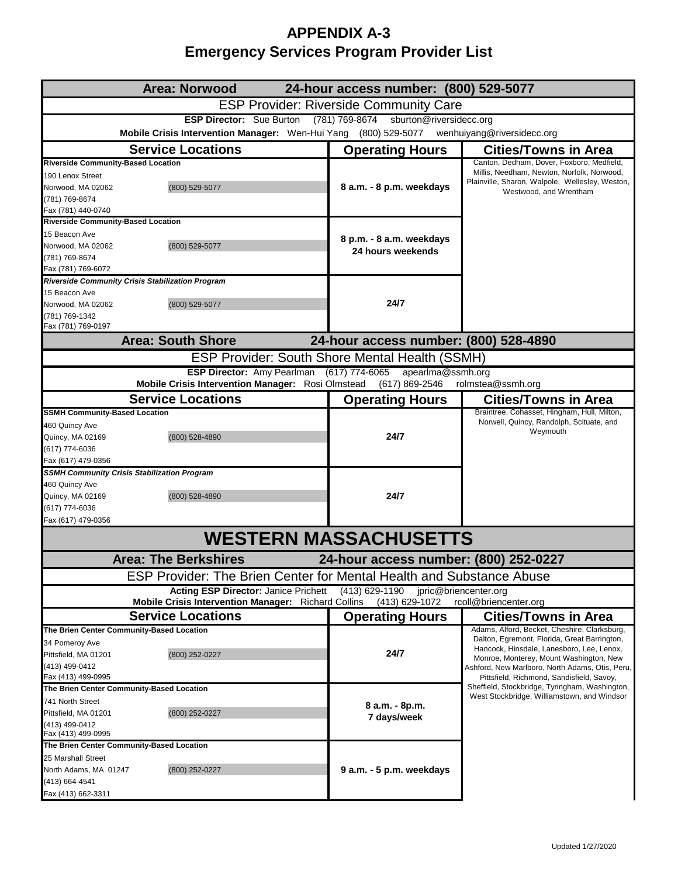|                                           | Area: Norwood                                                                                                     | 24-hour access number: (800) 529-5077         |                                                                                      |
|-------------------------------------------|-------------------------------------------------------------------------------------------------------------------|-----------------------------------------------|--------------------------------------------------------------------------------------|
|                                           |                                                                                                                   | <b>ESP Provider: Riverside Community Care</b> |                                                                                      |
|                                           | <b>ESP Director:</b> Sue Burton                                                                                   | (781) 769-8674 sburton@riversidecc.org        |                                                                                      |
|                                           | Mobile Crisis Intervention Manager: Wen-Hui Yang (800) 529-5077 wenhuiyang@riversidecc.org                        |                                               |                                                                                      |
|                                           | <b>Service Locations</b>                                                                                          | <b>Operating Hours</b>                        | <b>Cities/Towns in Area</b>                                                          |
| <b>Riverside Community-Based Location</b> |                                                                                                                   |                                               | Canton, Dedham, Dover, Foxboro, Medfield,                                            |
| 190 Lenox Street                          |                                                                                                                   |                                               | Millis, Needham, Newton, Norfolk, Norwood,                                           |
| Norwood, MA 02062                         | (800) 529-5077                                                                                                    | 8 a.m. - 8 p.m. weekdays                      | Plainville, Sharon, Walpole, Wellesley, Weston,<br>Westwood, and Wrentham            |
| (781) 769-8674                            |                                                                                                                   |                                               |                                                                                      |
| Fax (781) 440-0740                        |                                                                                                                   |                                               |                                                                                      |
| <b>Riverside Community-Based Location</b> |                                                                                                                   |                                               |                                                                                      |
| 15 Beacon Ave                             |                                                                                                                   | 8 p.m. - 8 a.m. weekdays                      |                                                                                      |
| Norwood, MA 02062                         | (800) 529-5077                                                                                                    | 24 hours weekends                             |                                                                                      |
| (781) 769-8674                            |                                                                                                                   |                                               |                                                                                      |
| Fax (781) 769-6072                        | Riverside Community Crisis Stabilization Program                                                                  |                                               |                                                                                      |
| 15 Beacon Ave                             |                                                                                                                   |                                               |                                                                                      |
| Norwood, MA 02062                         | (800) 529-5077                                                                                                    | 24/7                                          |                                                                                      |
| (781) 769-1342                            |                                                                                                                   |                                               |                                                                                      |
| Fax (781) 769-0197                        |                                                                                                                   |                                               |                                                                                      |
|                                           | <b>Area: South Shore</b>                                                                                          | 24-hour access number: (800) 528-4890         |                                                                                      |
|                                           | <b>ESP Provider: South Shore Mental Health (SSMH)</b>                                                             |                                               |                                                                                      |
|                                           | ESP Director: Amy Pearlman (617) 774-6065                                                                         | apearlma@ssmh.org                             |                                                                                      |
|                                           | Mobile Crisis Intervention Manager: Rosi Olmstead                                                                 | (617) 869-2546                                | rolmstea@ssmh.org                                                                    |
|                                           | <b>Service Locations</b>                                                                                          | <b>Operating Hours</b>                        | <b>Cities/Towns in Area</b>                                                          |
| <b>SSMH Community-Based Location</b>      |                                                                                                                   |                                               | Braintree, Cohasset, Hingham, Hull, Milton,                                          |
| 460 Quincy Ave                            |                                                                                                                   |                                               | Norwell, Quincy, Randolph, Scituate, and                                             |
| Quincy, MA 02169                          | (800) 528-4890                                                                                                    | 24/7                                          | Weymouth                                                                             |
| (617) 774-6036                            |                                                                                                                   |                                               |                                                                                      |
| Fax (617) 479-0356                        |                                                                                                                   |                                               |                                                                                      |
|                                           | <b>SSMH Community Crisis Stabilization Program</b>                                                                |                                               |                                                                                      |
| 460 Quincy Ave                            |                                                                                                                   |                                               |                                                                                      |
| Quincy, MA 02169                          | (800) 528-4890                                                                                                    | 24/7                                          |                                                                                      |
| (617) 774-6036                            |                                                                                                                   |                                               |                                                                                      |
| Fax (617) 479-0356                        |                                                                                                                   |                                               |                                                                                      |
|                                           |                                                                                                                   | <b>WESTERN MASSACHUSETTS</b>                  |                                                                                      |
|                                           | <b>Area: The Berkshires</b>                                                                                       | 24-hour access number: (800) 252-0227         |                                                                                      |
|                                           | ESP Provider: The Brien Center for Mental Health and Substance Abuse                                              |                                               |                                                                                      |
|                                           | <b>Acting ESP Director: Janice Prichett</b><br>Mobile Crisis Intervention Manager: Richard Collins (413) 629-1072 | $(413) 629 - 1190$                            | jpric@briencenter.org<br>rcoll@briencenter.org                                       |
|                                           | <b>Service Locations</b>                                                                                          | <b>Operating Hours</b>                        | <b>Cities/Towns in Area</b>                                                          |
|                                           | The Brien Center Community-Based Location                                                                         |                                               | Adams, Alford, Becket, Cheshire, Clarksburg,                                         |
| 34 Pomeroy Ave                            |                                                                                                                   |                                               | Dalton, Egremont, Florida, Great Barrington,                                         |
| Pittsfield, MA 01201                      | (800) 252-0227                                                                                                    | 24/7                                          | Hancock, Hinsdale, Lanesboro, Lee, Lenox,<br>Monroe, Monterey, Mount Washington, New |
| (413) 499-0412                            |                                                                                                                   |                                               | Ashford, New Marlboro, North Adams, Otis, Peru,                                      |
| Fax (413) 499-0995                        |                                                                                                                   |                                               | Pittsfield, Richmond, Sandisfield, Savoy,                                            |
|                                           | The Brien Center Community-Based Location                                                                         |                                               | Sheffield, Stockbridge, Tyringham, Washington,                                       |
| 741 North Street                          |                                                                                                                   | 8 a.m. - 8p.m.                                | West Stockbridge, Williamstown, and Windsor                                          |
| Pittsfield, MA 01201                      | (800) 252-0227                                                                                                    | 7 days/week                                   |                                                                                      |
| (413) 499-0412                            |                                                                                                                   |                                               |                                                                                      |
| Fax (413) 499-0995                        | The Brien Center Community-Based Location                                                                         |                                               |                                                                                      |
| 25 Marshall Street                        |                                                                                                                   |                                               |                                                                                      |
| North Adams, MA 01247                     | (800) 252-0227                                                                                                    | 9 a.m. - 5 p.m. weekdays                      |                                                                                      |
| (413) 664-4541                            |                                                                                                                   |                                               |                                                                                      |
| Fax (413) 662-3311                        |                                                                                                                   |                                               |                                                                                      |
|                                           |                                                                                                                   |                                               |                                                                                      |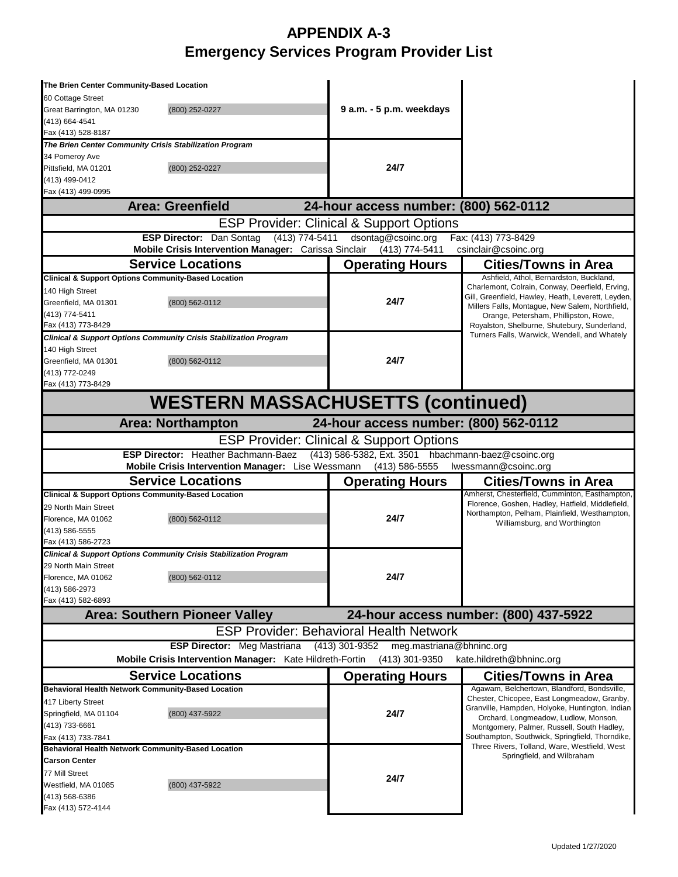| The Brien Center Community-Based Location                                  |                                                                                                           |                                                     |                                                                                                                                  |
|----------------------------------------------------------------------------|-----------------------------------------------------------------------------------------------------------|-----------------------------------------------------|----------------------------------------------------------------------------------------------------------------------------------|
| 60 Cottage Street                                                          |                                                                                                           |                                                     |                                                                                                                                  |
| Great Barrington, MA 01230                                                 | (800) 252-0227                                                                                            | 9 a.m. - 5 p.m. weekdays                            |                                                                                                                                  |
| (413) 664-4541                                                             |                                                                                                           |                                                     |                                                                                                                                  |
| Fax (413) 528-8187                                                         |                                                                                                           |                                                     |                                                                                                                                  |
| The Brien Center Community Crisis Stabilization Program                    |                                                                                                           |                                                     |                                                                                                                                  |
| 34 Pomeroy Ave<br>Pittsfield, MA 01201                                     | (800) 252-0227                                                                                            | 24/7                                                |                                                                                                                                  |
| (413) 499-0412                                                             |                                                                                                           |                                                     |                                                                                                                                  |
| Fax (413) 499-0995                                                         |                                                                                                           |                                                     |                                                                                                                                  |
|                                                                            | <b>Area: Greenfield</b>                                                                                   | 24-hour access number: (800) 562-0112               |                                                                                                                                  |
|                                                                            |                                                                                                           | <b>ESP Provider: Clinical &amp; Support Options</b> |                                                                                                                                  |
|                                                                            | <b>ESP Director: Dan Sontag</b><br>(413) 774-5411<br>Mobile Crisis Intervention Manager: Carissa Sinclair | dsontag@csoinc.org<br>(413) 774-5411                | Fax: (413) 773-8429<br>csinclair@csoinc.org                                                                                      |
|                                                                            | <b>Service Locations</b>                                                                                  | <b>Operating Hours</b>                              | <b>Cities/Towns in Area</b>                                                                                                      |
| <b>Clinical &amp; Support Options Community-Based Location</b>             |                                                                                                           |                                                     | Ashfield, Athol, Bernardston, Buckland,                                                                                          |
| 140 High Street                                                            |                                                                                                           |                                                     | Charlemont, Colrain, Conway, Deerfield, Erving,                                                                                  |
| Greenfield, MA 01301                                                       | (800) 562-0112                                                                                            | 24/7                                                | Gill, Greenfield, Hawley, Heath, Leverett, Leyden,<br>Millers Falls, Montague, New Salem, Northfield,                            |
| (413) 774-5411                                                             |                                                                                                           |                                                     | Orange, Petersham, Phillipston, Rowe,                                                                                            |
| Fax (413) 773-8429                                                         |                                                                                                           |                                                     | Royalston, Shelburne, Shutebury, Sunderland,                                                                                     |
|                                                                            | <b>Clinical &amp; Support Options Community Crisis Stabilization Program</b>                              |                                                     | Turners Falls, Warwick, Wendell, and Whately                                                                                     |
| 140 High Street                                                            |                                                                                                           |                                                     |                                                                                                                                  |
| Greenfield, MA 01301                                                       | (800) 562-0112                                                                                            | 24/7                                                |                                                                                                                                  |
| (413) 772-0249                                                             |                                                                                                           |                                                     |                                                                                                                                  |
| Fax (413) 773-8429                                                         |                                                                                                           |                                                     |                                                                                                                                  |
|                                                                            | <b>WESTERN MASSACHUSETTS (continued)</b>                                                                  |                                                     |                                                                                                                                  |
|                                                                            | <b>Area: Northampton</b>                                                                                  | 24-hour access number: (800) 562-0112               |                                                                                                                                  |
|                                                                            |                                                                                                           | <b>ESP Provider: Clinical &amp; Support Options</b> |                                                                                                                                  |
|                                                                            | ESP Director: Heather Bachmann-Baez (413) 586-5382, Ext. 3501 hbachmann-baez@csoinc.org                   |                                                     |                                                                                                                                  |
|                                                                            | Mobile Crisis Intervention Manager: Lise Wessmann (413) 586-5555                                          |                                                     | lwessmann@csoinc.org                                                                                                             |
|                                                                            | <b>Service Locations</b>                                                                                  | <b>Operating Hours</b>                              | <b>Cities/Towns in Area</b>                                                                                                      |
| <b>Clinical &amp; Support Options Community-Based Location</b>             |                                                                                                           |                                                     |                                                                                                                                  |
| 29 North Main Street                                                       |                                                                                                           |                                                     | Florence, Goshen, Hadley, Hatfield, Middlefield,                                                                                 |
| Florence, MA 01062                                                         | (800) 562-0112                                                                                            | 24/7                                                | Amherst, Chesterfield, Cumminton, Easthampton,<br>Northampton, Pelham, Plainfield, Westhampton,<br>Williamsburg, and Worthington |
| (413) 586-5555                                                             |                                                                                                           |                                                     |                                                                                                                                  |
| Fax (413) 586-2723                                                         |                                                                                                           |                                                     |                                                                                                                                  |
|                                                                            | <b>Clinical &amp; Support Options Community Crisis Stabilization Program</b>                              |                                                     |                                                                                                                                  |
| 29 North Main Street                                                       |                                                                                                           |                                                     |                                                                                                                                  |
| Florence, MA 01062                                                         | (800) 562-0112                                                                                            | 24/7                                                |                                                                                                                                  |
| (413) 586-2973<br>Fax (413) 582-6893                                       |                                                                                                           |                                                     |                                                                                                                                  |
|                                                                            | <b>Area: Southern Pioneer Valley</b>                                                                      |                                                     | 24-hour access number: (800) 437-5922                                                                                            |
|                                                                            |                                                                                                           | <b>ESP Provider: Behavioral Health Network</b>      |                                                                                                                                  |
|                                                                            | <b>ESP Director:</b> Meg Mastriana                                                                        | $(413)$ 301-9352<br>meg.mastriana@bhninc.org        |                                                                                                                                  |
|                                                                            | Mobile Crisis Intervention Manager: Kate Hildreth-Fortin                                                  | (413) 301-9350                                      | kate.hildreth@bhninc.org                                                                                                         |
|                                                                            | <b>Service Locations</b>                                                                                  | <b>Operating Hours</b>                              | <b>Cities/Towns in Area</b>                                                                                                      |
| <b>Behavioral Health Network Community-Based Location</b>                  |                                                                                                           |                                                     | Agawam, Belchertown, Blandford, Bondsville,                                                                                      |
| 417 Liberty Street                                                         |                                                                                                           |                                                     | Chester, Chicopee, East Longmeadow, Granby,                                                                                      |
| Springfield, MA 01104                                                      | (800) 437-5922                                                                                            | 24/7                                                | Orchard, Longmeadow, Ludlow, Monson,                                                                                             |
| (413) 733-6661                                                             |                                                                                                           |                                                     | Montgomery, Palmer, Russell, South Hadley,                                                                                       |
| Fax (413) 733-7841                                                         |                                                                                                           |                                                     | Southampton, Southwick, Springfield, Thorndike,<br>Three Rivers, Tolland, Ware, Westfield, West                                  |
| Behavioral Health Network Community-Based Location<br><b>Carson Center</b> |                                                                                                           |                                                     | Granville, Hampden, Holyoke, Huntington, Indian<br>Springfield, and Wilbraham                                                    |
| <b>77 Mill Street</b>                                                      |                                                                                                           |                                                     |                                                                                                                                  |
| Westfield, MA 01085                                                        | (800) 437-5922                                                                                            | 24/7                                                |                                                                                                                                  |
| (413) 568-6386                                                             |                                                                                                           |                                                     |                                                                                                                                  |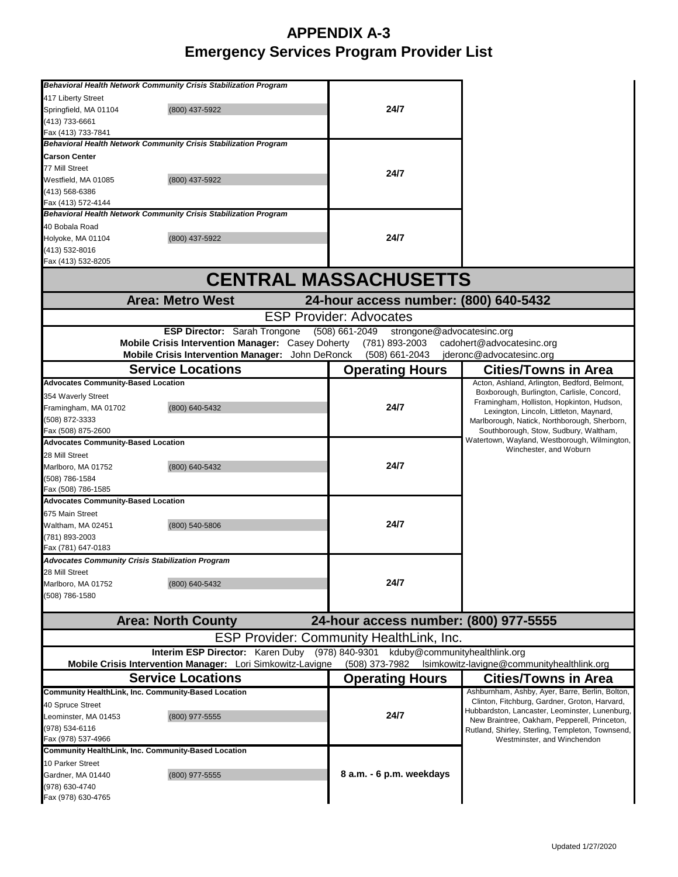|                                           | Behavioral Health Network Community Crisis Stabilization Program                                      |                                                 |                                                                                                 |
|-------------------------------------------|-------------------------------------------------------------------------------------------------------|-------------------------------------------------|-------------------------------------------------------------------------------------------------|
| 417 Liberty Street                        |                                                                                                       |                                                 |                                                                                                 |
| Springfield, MA 01104                     | (800) 437-5922                                                                                        | 24/7                                            |                                                                                                 |
| (413) 733-6661                            |                                                                                                       |                                                 |                                                                                                 |
| Fax (413) 733-7841                        |                                                                                                       |                                                 |                                                                                                 |
|                                           | Behavioral Health Network Community Crisis Stabilization Program                                      |                                                 |                                                                                                 |
| <b>Carson Center</b>                      |                                                                                                       |                                                 |                                                                                                 |
| 77 Mill Street                            |                                                                                                       |                                                 |                                                                                                 |
| Westfield, MA 01085                       | (800) 437-5922                                                                                        | 24/7                                            |                                                                                                 |
| (413) 568-6386                            |                                                                                                       |                                                 |                                                                                                 |
| Fax (413) 572-4144                        |                                                                                                       |                                                 |                                                                                                 |
|                                           | Behavioral Health Network Community Crisis Stabilization Program                                      |                                                 |                                                                                                 |
| 40 Bobala Road                            |                                                                                                       |                                                 |                                                                                                 |
| Holyoke, MA 01104                         | (800) 437-5922                                                                                        | 24/7                                            |                                                                                                 |
| (413) 532-8016                            |                                                                                                       |                                                 |                                                                                                 |
| Fax (413) 532-8205                        |                                                                                                       |                                                 |                                                                                                 |
|                                           |                                                                                                       | <b>CENTRAL MASSACHUSETTS</b>                    |                                                                                                 |
|                                           | <b>Area: Metro West</b>                                                                               | 24-hour access number: (800) 640-5432           |                                                                                                 |
|                                           |                                                                                                       | <b>ESP Provider: Advocates</b>                  |                                                                                                 |
|                                           | <b>ESP Director: Sarah Trongone</b>                                                                   | (508) 661-2049 strongone@advocatesinc.org       |                                                                                                 |
|                                           | Mobile Crisis Intervention Manager: Casey Doherty<br>Mobile Crisis Intervention Manager: John DeRonck | (781) 893-2003<br>(508) 661-2043                | cadohert@advocatesinc.org<br>jderonc@advocatesinc.org                                           |
|                                           | <b>Service Locations</b>                                                                              | <b>Operating Hours</b>                          | <b>Cities/Towns in Area</b>                                                                     |
| <b>Advocates Community-Based Location</b> |                                                                                                       |                                                 | Acton, Ashland, Arlington, Bedford, Belmont,                                                    |
| 354 Waverly Street                        |                                                                                                       |                                                 | Boxborough, Burlington, Carlisle, Concord,                                                      |
| Framingham, MA 01702                      | (800) 640-5432                                                                                        | 24/7                                            | Framingham, Holliston, Hopkinton, Hudson,<br>Lexington, Lincoln, Littleton, Maynard,            |
| (508) 872-3333                            |                                                                                                       |                                                 | Marlborough, Natick, Northborough, Sherborn,                                                    |
| Fax (508) 875-2600                        |                                                                                                       |                                                 | Southborough, Stow, Sudbury, Waltham,                                                           |
| <b>Advocates Community-Based Location</b> |                                                                                                       |                                                 | Watertown, Wayland, Westborough, Wilmington,                                                    |
| 28 Mill Street                            |                                                                                                       |                                                 | Winchester, and Woburn                                                                          |
| Marlboro, MA 01752                        | (800) 640-5432                                                                                        | 24/7                                            |                                                                                                 |
| (508) 786-1584                            |                                                                                                       |                                                 |                                                                                                 |
| Fax (508) 786-1585                        |                                                                                                       |                                                 |                                                                                                 |
| <b>Advocates Community-Based Location</b> |                                                                                                       |                                                 |                                                                                                 |
| 675 Main Street                           |                                                                                                       |                                                 |                                                                                                 |
| Waltham, MA 02451                         | (800) 540-5806                                                                                        | 24/7                                            |                                                                                                 |
| (781) 893-2003                            |                                                                                                       |                                                 |                                                                                                 |
| Fax (781) 647-0183                        |                                                                                                       |                                                 |                                                                                                 |
|                                           | <b>Advocates Community Crisis Stabilization Program</b>                                               |                                                 |                                                                                                 |
| 28 Mill Street                            |                                                                                                       | 24/7                                            |                                                                                                 |
| Marlboro, MA 01752<br>(508) 786-1580      | (800) 640-5432                                                                                        |                                                 |                                                                                                 |
|                                           |                                                                                                       |                                                 |                                                                                                 |
|                                           | <b>Area: North County</b>                                                                             | 24-hour access number: (800) 977-5555           |                                                                                                 |
|                                           |                                                                                                       | <b>ESP Provider: Community HealthLink, Inc.</b> |                                                                                                 |
|                                           | Interim ESP Director: Karen Duby (978) 840-9301                                                       | kduby@communityhealthlink.org                   |                                                                                                 |
|                                           | Mobile Crisis Intervention Manager: Lori Simkowitz-Lavigne                                            | (508) 373-7982                                  | Isimkowitz-lavigne@communityhealthlink.org                                                      |
|                                           | <b>Service Locations</b>                                                                              | <b>Operating Hours</b>                          | <b>Cities/Towns in Area</b>                                                                     |
|                                           | Community HealthLink, Inc. Community-Based Location                                                   |                                                 | Ashburnham, Ashby, Ayer, Barre, Berlin, Bolton,                                                 |
| 40 Spruce Street                          |                                                                                                       |                                                 | Clinton, Fitchburg, Gardner, Groton, Harvard,<br>Hubbardston, Lancaster, Leominster, Lunenburg, |
| Leominster, MA 01453                      | (800) 977-5555                                                                                        | 24/7                                            | New Braintree, Oakham, Pepperell, Princeton,                                                    |
| (978) 534-6116                            |                                                                                                       |                                                 | Rutland, Shirley, Sterling, Templeton, Townsend,                                                |
| Fax (978) 537-4966                        |                                                                                                       |                                                 | Westminster, and Winchendon                                                                     |
|                                           | Community HealthLink, Inc. Community-Based Location                                                   |                                                 |                                                                                                 |
| 10 Parker Street                          |                                                                                                       |                                                 |                                                                                                 |
| Gardner, MA 01440                         | (800) 977-5555                                                                                        | 8 a.m. - 6 p.m. weekdays                        |                                                                                                 |
| (978) 630-4740                            |                                                                                                       |                                                 |                                                                                                 |
| Fax (978) 630-4765                        |                                                                                                       |                                                 |                                                                                                 |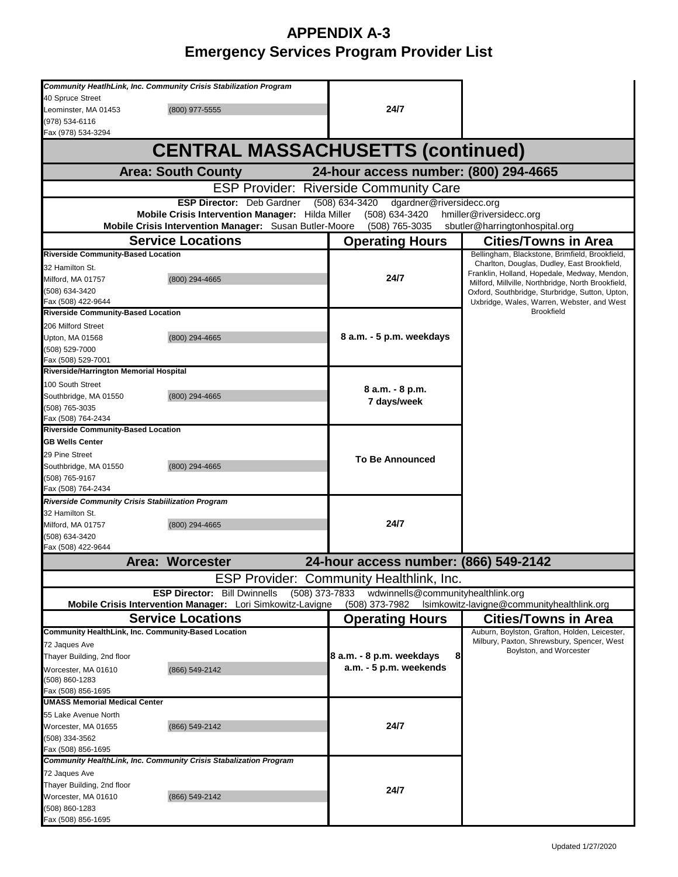| Community HeatlhLink, Inc. Community Crisis Stabilization Program |                                     |                                                                                                            |                                                |                                                                                             |
|-------------------------------------------------------------------|-------------------------------------|------------------------------------------------------------------------------------------------------------|------------------------------------------------|---------------------------------------------------------------------------------------------|
| 40 Spruce Street<br>Leominster, MA 01453                          | (800) 977-5555                      |                                                                                                            | 24/7                                           |                                                                                             |
| (978) 534-6116                                                    |                                     |                                                                                                            |                                                |                                                                                             |
| Fax (978) 534-3294                                                |                                     |                                                                                                            |                                                |                                                                                             |
|                                                                   |                                     |                                                                                                            | <b>CENTRAL MASSACHUSETTS (continued)</b>       |                                                                                             |
|                                                                   | <b>Area: South County</b>           |                                                                                                            | 24-hour access number: (800) 294-4665          |                                                                                             |
|                                                                   |                                     |                                                                                                            | <b>ESP Provider: Riverside Community Care</b>  |                                                                                             |
|                                                                   |                                     | <b>ESP Director: Deb Gardner</b>                                                                           | $(508) 634 - 3420$<br>dgardner@riversidecc.org |                                                                                             |
|                                                                   |                                     | Mobile Crisis Intervention Manager: Hilda Miller<br>Mobile Crisis Intervention Manager: Susan Butler-Moore | (508) 634-3420<br>(508) 765-3035               | hmiller@riversidecc.org<br>sbutler@harringtonhospital.org                                   |
|                                                                   | <b>Service Locations</b>            |                                                                                                            | <b>Operating Hours</b>                         | <b>Cities/Towns in Area</b>                                                                 |
| <b>Riverside Community-Based Location</b>                         |                                     |                                                                                                            |                                                | Bellingham, Blackstone, Brimfield, Brookfield,                                              |
| 32 Hamilton St.                                                   |                                     |                                                                                                            |                                                | Charlton, Douglas, Dudley, East Brookfield,<br>Franklin, Holland, Hopedale, Medway, Mendon, |
| Milford, MA 01757                                                 | (800) 294-4665                      |                                                                                                            | 24/7                                           | Milford, Millville, Northbridge, North Brookfield,                                          |
| (508) 634-3420                                                    |                                     |                                                                                                            |                                                | Oxford, Southbridge, Sturbridge, Sutton, Upton,                                             |
| Fax (508) 422-9644                                                |                                     |                                                                                                            |                                                | Uxbridge, Wales, Warren, Webster, and West<br><b>Brookfield</b>                             |
| <b>Riverside Community-Based Location</b>                         |                                     |                                                                                                            |                                                |                                                                                             |
| 206 Milford Street                                                | (800) 294-4665                      |                                                                                                            | 8 a.m. - 5 p.m. weekdays                       |                                                                                             |
| Upton, MA 01568<br>(508) 529-7000                                 |                                     |                                                                                                            |                                                |                                                                                             |
| Fax (508) 529-7001                                                |                                     |                                                                                                            |                                                |                                                                                             |
| Riverside/Harrington Memorial Hospital                            |                                     |                                                                                                            |                                                |                                                                                             |
| 100 South Street                                                  |                                     |                                                                                                            |                                                |                                                                                             |
| Southbridge, MA 01550                                             | (800) 294-4665                      |                                                                                                            | 8 a.m. - 8 p.m.                                |                                                                                             |
| (508) 765-3035                                                    |                                     |                                                                                                            | 7 days/week                                    |                                                                                             |
| Fax (508) 764-2434                                                |                                     |                                                                                                            |                                                |                                                                                             |
| <b>Riverside Community-Based Location</b>                         |                                     |                                                                                                            |                                                |                                                                                             |
| <b>GB Wells Center</b>                                            |                                     |                                                                                                            |                                                |                                                                                             |
| 29 Pine Street                                                    |                                     |                                                                                                            | <b>To Be Announced</b>                         |                                                                                             |
| Southbridge, MA 01550                                             | (800) 294-4665                      |                                                                                                            |                                                |                                                                                             |
| (508) 765-9167                                                    |                                     |                                                                                                            |                                                |                                                                                             |
| Fax (508) 764-2434                                                |                                     |                                                                                                            |                                                |                                                                                             |
| <b>Riverside Community Crisis Stabiilization Program</b>          |                                     |                                                                                                            |                                                |                                                                                             |
| 32 Hamilton St.                                                   | (800) 294-4665                      |                                                                                                            | 24/7                                           |                                                                                             |
| Milford, MA 01757<br>(508) 634-3420                               |                                     |                                                                                                            |                                                |                                                                                             |
| Fax (508) 422-9644                                                |                                     |                                                                                                            |                                                |                                                                                             |
|                                                                   | Area: Worcester                     |                                                                                                            | 24-hour access number: (866) 549-2142          |                                                                                             |
|                                                                   |                                     |                                                                                                            | ESP Provider: Community Healthlink, Inc.       |                                                                                             |
|                                                                   | <b>ESP Director: Bill Dwinnells</b> | (508) 373-7833                                                                                             | wdwinnells@communityhealthlink.org             |                                                                                             |
|                                                                   |                                     | Mobile Crisis Intervention Manager: Lori Simkowitz-Lavigne                                                 | (508) 373-7982                                 | Isimkowitz-lavigne@communityhealthlink.org                                                  |
| Community HealthLink, Inc. Community-Based Location               | <b>Service Locations</b>            |                                                                                                            | <b>Operating Hours</b>                         | <b>Cities/Towns in Area</b><br>Auburn, Boylston, Grafton, Holden, Leicester,                |
|                                                                   |                                     |                                                                                                            |                                                | Milbury, Paxton, Shrewsbury, Spencer, West                                                  |
| 72 Jaques Ave                                                     |                                     |                                                                                                            | 8 a.m. - 8 p.m. weekdays<br>8                  | Boylston, and Worcester                                                                     |
| Thayer Building, 2nd floor                                        |                                     |                                                                                                            | a.m. - 5 p.m. weekends                         |                                                                                             |
| Worcester, MA 01610                                               | (866) 549-2142                      |                                                                                                            |                                                |                                                                                             |
| (508) 860-1283<br>Fax (508) 856-1695                              |                                     |                                                                                                            |                                                |                                                                                             |
| <b>UMASS Memorial Medical Center</b>                              |                                     |                                                                                                            |                                                |                                                                                             |
| 55 Lake Avenue North                                              |                                     |                                                                                                            |                                                |                                                                                             |
| Worcester, MA 01655                                               | (866) 549-2142                      |                                                                                                            | 24/7                                           |                                                                                             |
| (508) 334-3562                                                    |                                     |                                                                                                            |                                                |                                                                                             |
| Fax (508) 856-1695                                                |                                     |                                                                                                            |                                                |                                                                                             |
| Community HealthLink, Inc. Community Crisis Stabalization Program |                                     |                                                                                                            |                                                |                                                                                             |
| 72 Jaques Ave                                                     |                                     |                                                                                                            |                                                |                                                                                             |
| Thayer Building, 2nd floor                                        |                                     |                                                                                                            |                                                |                                                                                             |
| Worcester, MA 01610                                               | (866) 549-2142                      |                                                                                                            | 24/7                                           |                                                                                             |
| (508) 860-1283                                                    |                                     |                                                                                                            |                                                |                                                                                             |
| Fax (508) 856-1695                                                |                                     |                                                                                                            |                                                |                                                                                             |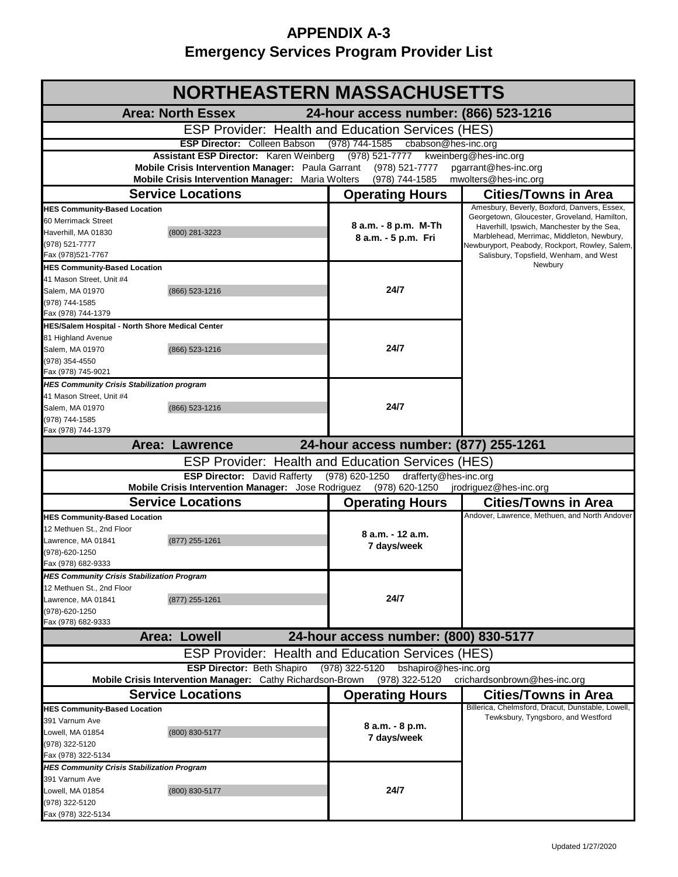| <b>NORTHEASTERN MASSACHUSETTS</b>                                              |                                                                                                                       |                                                            |                                                                                            |
|--------------------------------------------------------------------------------|-----------------------------------------------------------------------------------------------------------------------|------------------------------------------------------------|--------------------------------------------------------------------------------------------|
|                                                                                | <b>Area: North Essex</b>                                                                                              | 24-hour access number: (866) 523-1216                      |                                                                                            |
|                                                                                |                                                                                                                       | ESP Provider: Health and Education Services (HES)          |                                                                                            |
|                                                                                | <b>ESP Director: Colleen Babson</b>                                                                                   | $(978)$ 744-1585<br>cbabson@hes-inc.org                    |                                                                                            |
|                                                                                | Assistant ESP Director: Karen Weinberg (978) 521-7777                                                                 |                                                            | kweinberg@hes-inc.org                                                                      |
|                                                                                | Mobile Crisis Intervention Manager: Paula Garrant (978) 521-7777<br>Mobile Crisis Intervention Manager: Maria Wolters | (978) 744-1585                                             | pgarrant@hes-inc.org<br>mwolters@hes-inc.org                                               |
|                                                                                | <b>Service Locations</b>                                                                                              | <b>Operating Hours</b>                                     | <b>Cities/Towns in Area</b>                                                                |
| <b>HES Community-Based Location</b>                                            |                                                                                                                       |                                                            | Amesbury, Beverly, Boxford, Danvers, Essex,                                                |
| 60 Merrimack Street                                                            |                                                                                                                       | 8 a.m. - 8 p.m. M-Th                                       | Georgetown, Gloucester, Groveland, Hamilton,<br>Haverhill, Ipswich, Manchester by the Sea, |
| Haverhill, MA 01830                                                            | (800) 281-3223                                                                                                        | 8 a.m. - 5 p.m. Fri                                        | Marblehead, Merrimac, Middleton, Newbury,                                                  |
| (978) 521-7777                                                                 |                                                                                                                       |                                                            | Newburyport, Peabody, Rockport, Rowley, Salem,                                             |
| Fax (978)521-7767                                                              |                                                                                                                       |                                                            | Salisbury, Topsfield, Wenham, and West                                                     |
| <b>HES Community-Based Location</b>                                            |                                                                                                                       |                                                            | Newbury                                                                                    |
| 41 Mason Street, Unit #4                                                       |                                                                                                                       |                                                            |                                                                                            |
| Salem, MA 01970                                                                | (866) 523-1216                                                                                                        | 24/7                                                       |                                                                                            |
| (978) 744-1585                                                                 |                                                                                                                       |                                                            |                                                                                            |
| Fax (978) 744-1379                                                             |                                                                                                                       |                                                            |                                                                                            |
| HES/Salem Hospital - North Shore Medical Center                                |                                                                                                                       |                                                            |                                                                                            |
| 81 Highland Avenue                                                             |                                                                                                                       |                                                            |                                                                                            |
| Salem, MA 01970                                                                | (866) 523-1216                                                                                                        | 24/7                                                       |                                                                                            |
| (978) 354-4550                                                                 |                                                                                                                       |                                                            |                                                                                            |
| Fax (978) 745-9021                                                             |                                                                                                                       |                                                            |                                                                                            |
| <b>HES Community Crisis Stabilization program</b>                              |                                                                                                                       |                                                            |                                                                                            |
| 41 Mason Street, Unit #4                                                       |                                                                                                                       |                                                            |                                                                                            |
| Salem, MA 01970                                                                | (866) 523-1216                                                                                                        | 24/7                                                       |                                                                                            |
| (978) 744-1585                                                                 |                                                                                                                       |                                                            |                                                                                            |
| Fax (978) 744-1379                                                             |                                                                                                                       |                                                            |                                                                                            |
|                                                                                | <b>Area: Lawrence</b>                                                                                                 | 24-hour access number: (877) 255-1261                      |                                                                                            |
|                                                                                |                                                                                                                       | <b>ESP Provider: Health and Education Services (HES)</b>   |                                                                                            |
|                                                                                | <b>ESP Director:</b> David Rafferty<br>Mobile Crisis Intervention Manager: Jose Rodriguez (978) 620-1250              | (978) 620-1250<br>drafferty@hes-inc.org                    | jrodriguez@hes-inc.org                                                                     |
|                                                                                | <b>Service Locations</b>                                                                                              | <b>Operating Hours</b>                                     | <b>Cities/Towns in Area</b>                                                                |
|                                                                                |                                                                                                                       |                                                            | Andover, Lawrence, Methuen, and North Andover                                              |
| <b>HES Community-Based Location</b>                                            |                                                                                                                       |                                                            |                                                                                            |
| 12 Methuen St., 2nd Floor                                                      |                                                                                                                       | 8 a.m. - 12 a.m.                                           |                                                                                            |
| Lawrence, MA 01841                                                             | (877) 255-1261                                                                                                        | 7 days/week                                                |                                                                                            |
| (978)-620-1250<br>Fax (978) 682-9333                                           |                                                                                                                       |                                                            |                                                                                            |
|                                                                                |                                                                                                                       |                                                            |                                                                                            |
| <b>HES Community Crisis Stabilization Program</b><br>12 Methuen St., 2nd Floor |                                                                                                                       |                                                            |                                                                                            |
|                                                                                | (877) 255-1261                                                                                                        | 24/7                                                       |                                                                                            |
| Lawrence, MA 01841<br>(978)-620-1250                                           |                                                                                                                       |                                                            |                                                                                            |
| Fax (978) 682-9333                                                             |                                                                                                                       |                                                            |                                                                                            |
|                                                                                | Area: Lowell                                                                                                          | 24-hour access number: (800) 830-5177                      |                                                                                            |
|                                                                                |                                                                                                                       | ESP Provider: Health and Education Services (HES)          |                                                                                            |
|                                                                                |                                                                                                                       |                                                            |                                                                                            |
|                                                                                | <b>ESP Director: Beth Shapiro</b><br>Mobile Crisis Intervention Manager: Cathy Richardson-Brown                       | $(978)$ 322-5120<br>bshapiro@hes-inc.org<br>(978) 322-5120 | crichardsonbrown@hes-inc.org                                                               |
|                                                                                | <b>Service Locations</b>                                                                                              | <b>Operating Hours</b>                                     | <b>Cities/Towns in Area</b>                                                                |
| <b>HES Community-Based Location</b>                                            |                                                                                                                       |                                                            | Billerica, Chelmsford, Dracut, Dunstable, Lowell,                                          |
| 391 Varnum Ave                                                                 |                                                                                                                       |                                                            | Tewksbury, Tyngsboro, and Westford                                                         |
| Lowell, MA 01854                                                               | (800) 830-5177                                                                                                        | 8 a.m. - 8 p.m.                                            |                                                                                            |
| (978) 322-5120                                                                 |                                                                                                                       | 7 days/week                                                |                                                                                            |
| Fax (978) 322-5134                                                             |                                                                                                                       |                                                            |                                                                                            |
| <b>HES Community Crisis Stabilization Program</b>                              |                                                                                                                       |                                                            |                                                                                            |
| 391 Varnum Ave                                                                 |                                                                                                                       |                                                            |                                                                                            |
| Lowell, MA 01854                                                               | (800) 830-5177                                                                                                        | 24/7                                                       |                                                                                            |
| (978) 322-5120                                                                 |                                                                                                                       |                                                            |                                                                                            |
|                                                                                |                                                                                                                       |                                                            |                                                                                            |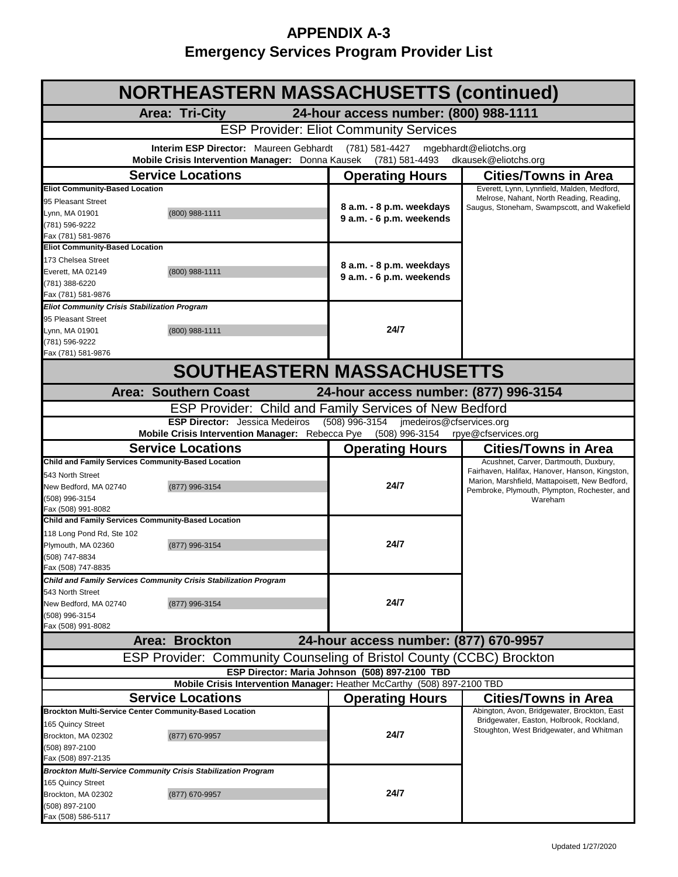| <b>NORTHEASTERN MASSACHUSETTS (continued)</b>                                                                                                                                    |                                                                                                                                                                        |  |                                                                                                                                                                                                      |  |
|----------------------------------------------------------------------------------------------------------------------------------------------------------------------------------|------------------------------------------------------------------------------------------------------------------------------------------------------------------------|--|------------------------------------------------------------------------------------------------------------------------------------------------------------------------------------------------------|--|
| Area: Tri-City                                                                                                                                                                   | 24-hour access number: (800) 988-1111                                                                                                                                  |  |                                                                                                                                                                                                      |  |
| <b>ESP Provider: Eliot Community Services</b>                                                                                                                                    |                                                                                                                                                                        |  |                                                                                                                                                                                                      |  |
| Interim ESP Director: Maureen Gebhardt<br>(781) 581-4427<br>mgebhardt@eliotchs.org<br>Mobile Crisis Intervention Manager: Donna Kausek<br>dkausek@eliotchs.org<br>(781) 581-4493 |                                                                                                                                                                        |  |                                                                                                                                                                                                      |  |
| <b>Service Locations</b>                                                                                                                                                         | <b>Operating Hours</b>                                                                                                                                                 |  | <b>Cities/Towns in Area</b>                                                                                                                                                                          |  |
| <b>Eliot Community-Based Location</b>                                                                                                                                            |                                                                                                                                                                        |  | Everett, Lynn, Lynnfield, Malden, Medford,                                                                                                                                                           |  |
| 95 Pleasant Street<br>(800) 988-1111<br>Lynn, MA 01901<br>(781) 596-9222<br>Fax (781) 581-9876                                                                                   | 8 a.m. - 8 p.m. weekdays<br>9 a.m. - 6 p.m. weekends                                                                                                                   |  | Melrose, Nahant, North Reading, Reading,<br>Saugus, Stoneham, Swampscott, and Wakefield                                                                                                              |  |
| <b>Eliot Community-Based Location</b><br>173 Chelsea Street<br>(800) 988-1111<br>Everett, MA 02149<br>(781) 388-6220<br>Fax (781) 581-9876                                       | 8 a.m. - 8 p.m. weekdays<br>9 a.m. - 6 p.m. weekends                                                                                                                   |  |                                                                                                                                                                                                      |  |
| <b>Eliot Community Crisis Stabilization Program</b><br>95 Pleasant Street<br>(800) 988-1111<br>Lynn, MA 01901<br>(781) 596-9222<br>Fax (781) 581-9876                            | 24/7                                                                                                                                                                   |  |                                                                                                                                                                                                      |  |
|                                                                                                                                                                                  | <b>SOUTHEASTERN MASSACHUSETTS</b>                                                                                                                                      |  |                                                                                                                                                                                                      |  |
| <b>Area: Southern Coast</b>                                                                                                                                                      | 24-hour access number: (877) 996-3154                                                                                                                                  |  |                                                                                                                                                                                                      |  |
|                                                                                                                                                                                  | <b>ESP Provider: Child and Family Services of New Bedford</b>                                                                                                          |  |                                                                                                                                                                                                      |  |
|                                                                                                                                                                                  | <b>ESP Director:</b> Jessica Medeiros<br>(508) 996-3154 jmedeiros@cfservices.org<br>Mobile Crisis Intervention Manager: Rebecca Pye (508) 996-3154 rpye@cfservices.org |  |                                                                                                                                                                                                      |  |
| <b>Service Locations</b>                                                                                                                                                         | <b>Operating Hours</b>                                                                                                                                                 |  | <b>Cities/Towns in Area</b>                                                                                                                                                                          |  |
| Child and Family Services Community-Based Location<br>543 North Street<br>(877) 996-3154<br>New Bedford, MA 02740<br>(508) 996-3154<br>Fax (508) 991-8082                        | 24/7                                                                                                                                                                   |  | Acushnet, Carver, Dartmouth, Duxbury,<br>Fairhaven, Halifax, Hanover, Hanson, Kingston,<br>Marion, Marshfield, Mattapoisett, New Bedford,<br>Pembroke, Plymouth, Plympton, Rochester, and<br>Wareham |  |
| Child and Family Services Community-Based Location                                                                                                                               |                                                                                                                                                                        |  |                                                                                                                                                                                                      |  |
| 118 Long Pond Rd, Ste 102<br>(877) 996-3154<br>Plymouth, MA 02360<br>(508) 747-8834<br>Fax (508) 747-8835                                                                        | 24/7                                                                                                                                                                   |  |                                                                                                                                                                                                      |  |
| Child and Family Services Community Crisis Stabilization Program                                                                                                                 |                                                                                                                                                                        |  |                                                                                                                                                                                                      |  |
| 543 North Street<br>New Bedford, MA 02740<br>(877) 996-3154<br>(508) 996-3154<br>Fax (508) 991-8082                                                                              | 24/7                                                                                                                                                                   |  |                                                                                                                                                                                                      |  |
| <b>Area: Brockton</b><br>24-hour access number: (877) 670-9957                                                                                                                   |                                                                                                                                                                        |  |                                                                                                                                                                                                      |  |
| ESP Provider: Community Counseling of Bristol County (CCBC) Brockton                                                                                                             |                                                                                                                                                                        |  |                                                                                                                                                                                                      |  |
| ESP Director: Maria Johnson (508) 897-2100 TBD<br>Mobile Crisis Intervention Manager: Heather McCarthy (508) 897-2100 TBD                                                        |                                                                                                                                                                        |  |                                                                                                                                                                                                      |  |
|                                                                                                                                                                                  |                                                                                                                                                                        |  |                                                                                                                                                                                                      |  |
| <b>Service Locations</b><br><b>Brockton Multi-Service Center Community-Based Location</b>                                                                                        | <b>Operating Hours</b>                                                                                                                                                 |  | <b>Cities/Towns in Area</b><br>Abington, Avon, Bridgewater, Brockton, East                                                                                                                           |  |
| 165 Quincy Street<br>(877) 670-9957<br>Brockton, MA 02302<br>(508) 897-2100<br>Fax (508) 897-2135                                                                                | 24/7                                                                                                                                                                   |  | Bridgewater, Easton, Holbrook, Rockland,<br>Stoughton, West Bridgewater, and Whitman                                                                                                                 |  |
| <b>Brockton Multi-Service Community Crisis Stabilization Program</b><br>165 Quincy Street<br>Brockton, MA 02302<br>(877) 670-9957<br>(508) 897-2100<br>Fax (508) 586-5117        | 24/7                                                                                                                                                                   |  |                                                                                                                                                                                                      |  |